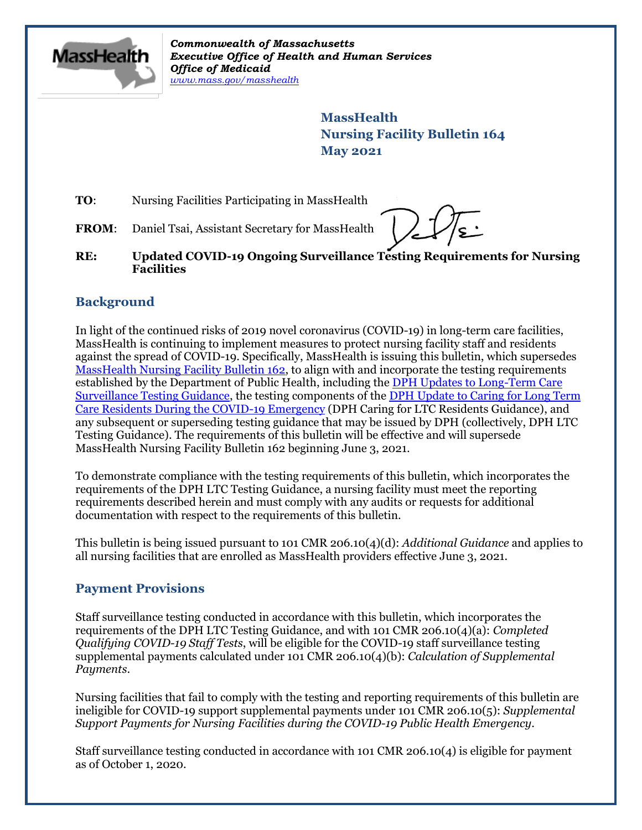

*Commonwealth of Massachusetts Executive Office of Health and Human Services Office of Medicaid [www.mass.gov/masshealth](http://www.mass.gov/masshealth)*

> **MassHealth Nursing Facility Bulletin 164 May 2021**

**TO:** Nursing Facilities Participating in MassHealth

FROM: Daniel Tsai, Assistant Secretary for MassHealth

**RE: Updated COVID-19 Ongoing Surveillance Testing Requirements for Nursing Facilities** 

## **Background**

In light of the continued risks of 2019 novel coronavirus (COVID-19) in long-term care facilities, MassHealth is continuing to implement measures to protect nursing facility staff and residents against the spread of COVID-19. Specifically, MassHealth is issuing this bulletin, which supersedes [MassHealth Nursing Facility Bulletin 162,](https://www.mass.gov/doc/nursing-facility-bulletin-162-updated-covid-19-ongoing-surveillance-testing-requirements-for-nursing-facilities-0/download) to align with and incorporate the testing requirements established by the Department of Public Health, including the [DPH Updates to Long-Term Care](https://www.mass.gov/doc/updates-to-long-term-care-surveillance-testing-0/download)  [Surveillance Testing Guidance,](https://www.mass.gov/doc/updates-to-long-term-care-surveillance-testing-0/download) the testing components of the [DPH Update to Caring for Long Term](https://www.mass.gov/doc/march-update-to-caring-for-long-term-care-residents-during-the-covid-19-emergency/download)  [Care Residents During the COVID-19 Emergency](https://www.mass.gov/doc/march-update-to-caring-for-long-term-care-residents-during-the-covid-19-emergency/download) (DPH Caring for LTC Residents Guidance), and any subsequent or superseding testing guidance that may be issued by DPH (collectively, DPH LTC Testing Guidance). The requirements of this bulletin will be effective and will supersede MassHealth Nursing Facility Bulletin 162 beginning June 3, 2021.

To demonstrate compliance with the testing requirements of this bulletin, which incorporates the requirements of the DPH LTC Testing Guidance, a nursing facility must meet the reporting requirements described herein and must comply with any audits or requests for additional documentation with respect to the requirements of this bulletin.

This bulletin is being issued pursuant to 101 CMR 206.10(4)(d): *Additional Guidance* and applies to all nursing facilities that are enrolled as MassHealth providers effective June 3, 2021.

## **Payment Provisions**

Staff surveillance testing conducted in accordance with this bulletin, which incorporates the requirements of the DPH LTC Testing Guidance, and with 101 CMR 206.10(4)(a): *Completed Qualifying COVID-19 Staff Tests*, will be eligible for the COVID-19 staff surveillance testing supplemental payments calculated under 101 CMR 206.10(4)(b): *Calculation of Supplemental Payments*.

Nursing facilities that fail to comply with the testing and reporting requirements of this bulletin are ineligible for COVID-19 support supplemental payments under 101 CMR 206.10(5): *Supplemental Support Payments for Nursing Facilities during the COVID-19 Public Health Emergency*.

Staff surveillance testing conducted in accordance with 101 CMR 206.10(4) is eligible for payment as of October 1, 2020.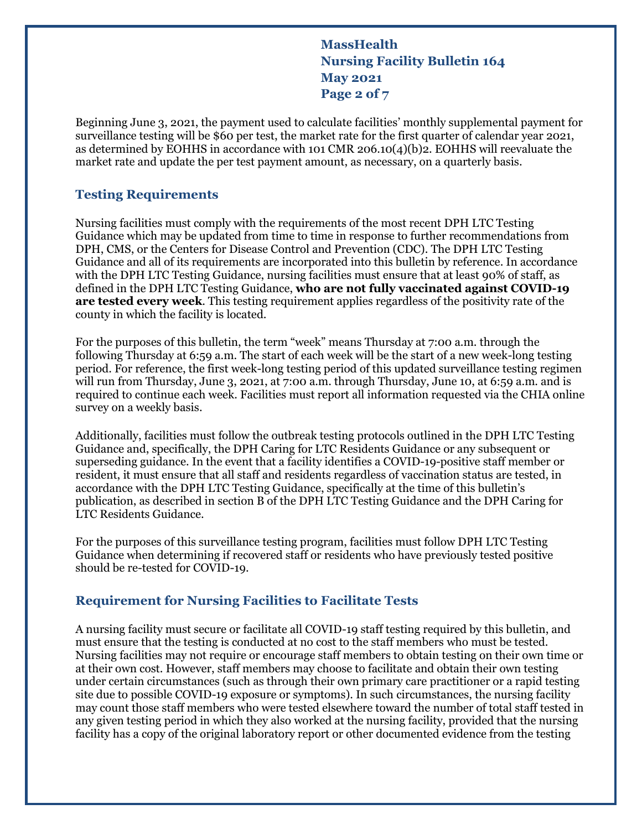**MassHealth Nursing Facility Bulletin 164 May 2021 Page 2 of 7**

Beginning June 3, 2021, the payment used to calculate facilities' monthly supplemental payment for surveillance testing will be \$60 per test, the market rate for the first quarter of calendar year 2021, as determined by EOHHS in accordance with 101 CMR 206.10(4)(b)2. EOHHS will reevaluate the market rate and update the per test payment amount, as necessary, on a quarterly basis.

#### **Testing Requirements**

Nursing facilities must comply with the requirements of the most recent DPH LTC Testing Guidance which may be updated from time to time in response to further recommendations from DPH, CMS, or the Centers for Disease Control and Prevention (CDC). The DPH LTC Testing Guidance and all of its requirements are incorporated into this bulletin by reference. In accordance with the DPH LTC Testing Guidance, nursing facilities must ensure that at least 90% of staff, as defined in the DPH LTC Testing Guidance, **who are not fully vaccinated against COVID-19 are tested every week**. This testing requirement applies regardless of the positivity rate of the county in which the facility is located.

For the purposes of this bulletin, the term "week" means Thursday at 7:00 a.m. through the following Thursday at 6:59 a.m. The start of each week will be the start of a new week-long testing period. For reference, the first week-long testing period of this updated surveillance testing regimen will run from Thursday, June 3, 2021, at 7:00 a.m. through Thursday, June 10, at 6:59 a.m. and is required to continue each week. Facilities must report all information requested via the CHIA online survey on a weekly basis.

Additionally, facilities must follow the outbreak testing protocols outlined in the DPH LTC Testing Guidance and, specifically, the DPH Caring for LTC Residents Guidance or any subsequent or superseding guidance. In the event that a facility identifies a COVID-19-positive staff member or resident, it must ensure that all staff and residents regardless of vaccination status are tested, in accordance with the DPH LTC Testing Guidance, specifically at the time of this bulletin's publication, as described in section B of the DPH LTC Testing Guidance and the DPH Caring for LTC Residents Guidance.

For the purposes of this surveillance testing program, facilities must follow DPH LTC Testing Guidance when determining if recovered staff or residents who have previously tested positive should be re-tested for COVID-19.

#### **Requirement for Nursing Facilities to Facilitate Tests**

A nursing facility must secure or facilitate all COVID-19 staff testing required by this bulletin, and must ensure that the testing is conducted at no cost to the staff members who must be tested. Nursing facilities may not require or encourage staff members to obtain testing on their own time or at their own cost. However, staff members may choose to facilitate and obtain their own testing under certain circumstances (such as through their own primary care practitioner or a rapid testing site due to possible COVID-19 exposure or symptoms). In such circumstances, the nursing facility may count those staff members who were tested elsewhere toward the number of total staff tested in any given testing period in which they also worked at the nursing facility, provided that the nursing facility has a copy of the original laboratory report or other documented evidence from the testing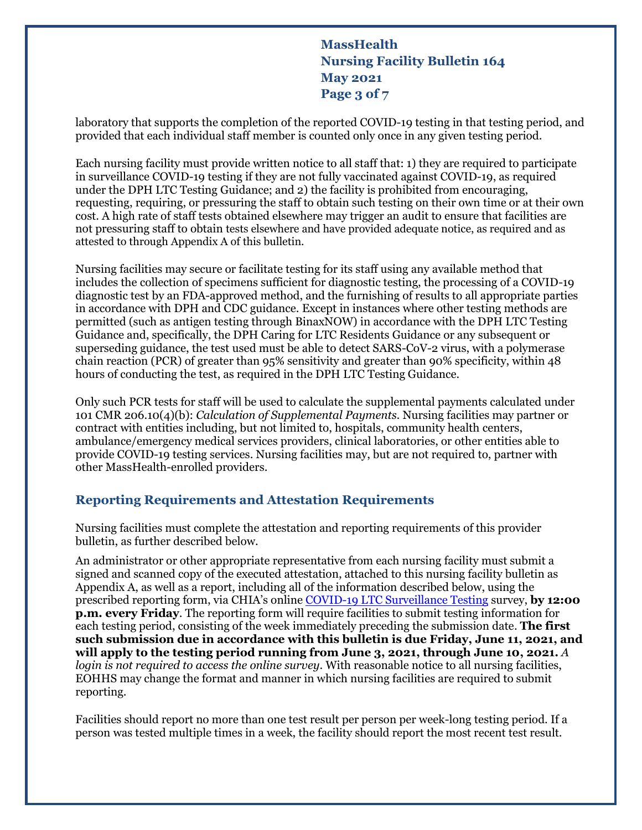**MassHealth Nursing Facility Bulletin 164 May 2021 Page 3 of 7**

laboratory that supports the completion of the reported COVID-19 testing in that testing period, and provided that each individual staff member is counted only once in any given testing period.

Each nursing facility must provide written notice to all staff that: 1) they are required to participate in surveillance COVID-19 testing if they are not fully vaccinated against COVID-19, as required under the DPH LTC Testing Guidance; and 2) the facility is prohibited from encouraging, requesting, requiring, or pressuring the staff to obtain such testing on their own time or at their own cost. A high rate of staff tests obtained elsewhere may trigger an audit to ensure that facilities are not pressuring staff to obtain tests elsewhere and have provided adequate notice, as required and as attested to through Appendix A of this bulletin.

Nursing facilities may secure or facilitate testing for its staff using any available method that includes the collection of specimens sufficient for diagnostic testing, the processing of a COVID-19 diagnostic test by an FDA-approved method, and the furnishing of results to all appropriate parties in accordance with DPH and CDC guidance. Except in instances where other testing methods are permitted (such as antigen testing through BinaxNOW) in accordance with the DPH LTC Testing Guidance and, specifically, the DPH Caring for LTC Residents Guidance or any subsequent or superseding guidance, the test used must be able to detect SARS-CoV-2 virus, with a polymerase chain reaction (PCR) of greater than 95% sensitivity and greater than 90% specificity, within 48 hours of conducting the test, as required in the DPH LTC Testing Guidance.

Only such PCR tests for staff will be used to calculate the supplemental payments calculated under 101 CMR 206.10(4)(b): *Calculation of Supplemental Payments.* Nursing facilities may partner or contract with entities including, but not limited to, hospitals, community health centers, ambulance/emergency medical services providers, clinical laboratories, or other entities able to provide COVID-19 testing services. Nursing facilities may, but are not required to, partner with other MassHealth-enrolled providers.

### **Reporting Requirements and Attestation Requirements**

Nursing facilities must complete the attestation and reporting requirements of this provider bulletin, as further described below.

An administrator or other appropriate representative from each nursing facility must submit a signed and scanned copy of the executed attestation, attached to this nursing facility bulletin as Appendix A, as well as a report, including all of the information described below, using the prescribed reporting form, via CHIA's online [COVID-19 LTC Surveillance Testing](https://survey.alchemer.com/s3/6242598/COVID-Surveillance-Testing-v2) survey, **by 12:00 p.m. every Friday**. The reporting form will require facilities to submit testing information for each testing period, consisting of the week immediately preceding the submission date. **The first such submission due in accordance with this bulletin is due Friday, June 11, 2021, and will apply to the testing period running from June 3, 2021, through June 10, 2021.** *A login is not required to access the online survey*. With reasonable notice to all nursing facilities, EOHHS may change the format and manner in which nursing facilities are required to submit reporting.

Facilities should report no more than one test result per person per week-long testing period. If a person was tested multiple times in a week, the facility should report the most recent test result.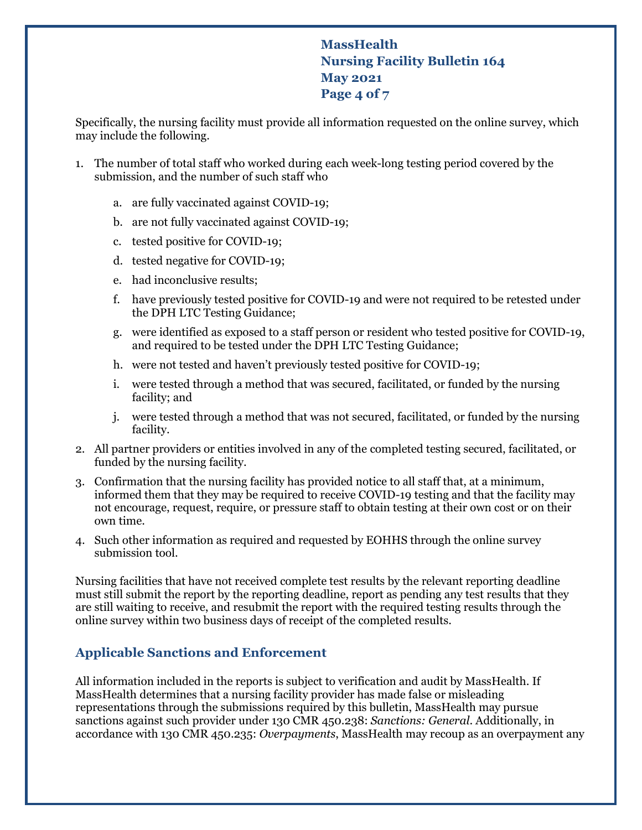# **MassHealth Nursing Facility Bulletin 164 May 2021 Page 4 of 7**

Specifically, the nursing facility must provide all information requested on the online survey, which may include the following.

- 1. The number of total staff who worked during each week-long testing period covered by the submission, and the number of such staff who
	- a. are fully vaccinated against COVID-19;
	- b. are not fully vaccinated against COVID-19;
	- c. tested positive for COVID-19;
	- d. tested negative for COVID-19;
	- e. had inconclusive results;
	- f. have previously tested positive for COVID-19 and were not required to be retested under the DPH LTC Testing Guidance;
	- g. were identified as exposed to a staff person or resident who tested positive for COVID-19, and required to be tested under the DPH LTC Testing Guidance;
	- h. were not tested and haven't previously tested positive for COVID-19;
	- i. were tested through a method that was secured, facilitated, or funded by the nursing facility; and
	- j. were tested through a method that was not secured, facilitated, or funded by the nursing facility.
- 2. All partner providers or entities involved in any of the completed testing secured, facilitated, or funded by the nursing facility.
- 3. Confirmation that the nursing facility has provided notice to all staff that, at a minimum, informed them that they may be required to receive COVID-19 testing and that the facility may not encourage, request, require, or pressure staff to obtain testing at their own cost or on their own time.
- 4. Such other information as required and requested by EOHHS through the online survey submission tool.

Nursing facilities that have not received complete test results by the relevant reporting deadline must still submit the report by the reporting deadline, report as pending any test results that they are still waiting to receive, and resubmit the report with the required testing results through the online survey within two business days of receipt of the completed results.

## **Applicable Sanctions and Enforcement**

All information included in the reports is subject to verification and audit by MassHealth. If MassHealth determines that a nursing facility provider has made false or misleading representations through the submissions required by this bulletin, MassHealth may pursue sanctions against such provider under 130 CMR 450.238: *Sanctions: General*. Additionally, in accordance with 130 CMR 450.235: *Overpayments*, MassHealth may recoup as an overpayment any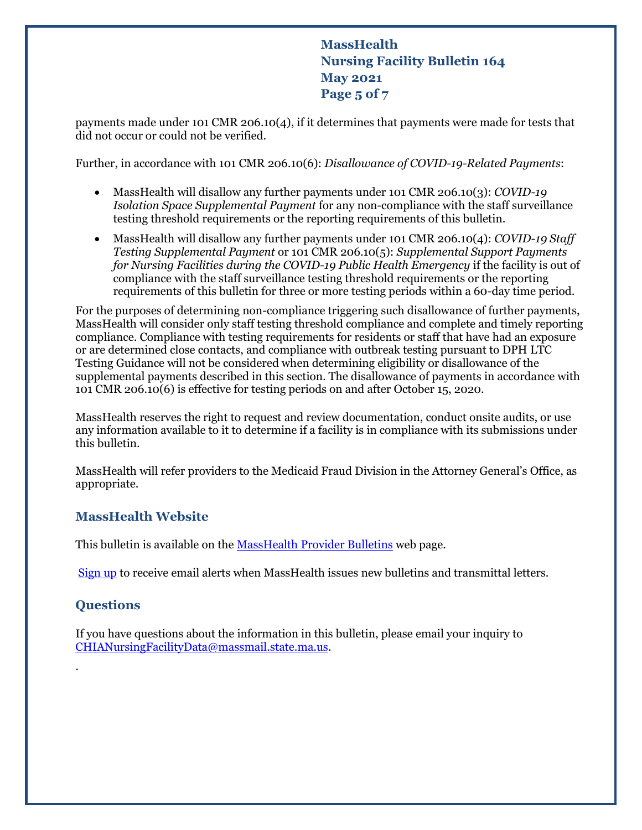**MassHealth Nursing Facility Bulletin 164 May 2021 Page 5 of 7**

payments made under 101 CMR 206.10(4), if it determines that payments were made for tests that did not occur or could not be verified.

Further, in accordance with 101 CMR 206.10(6): *Disallowance of COVID-19-Related Payments*:

- MassHealth will disallow any further payments under 101 CMR 206.10(3): *COVID-19 Isolation Space Supplemental Payment* for any non-compliance with the staff surveillance testing threshold requirements or the reporting requirements of this bulletin.
- MassHealth will disallow any further payments under 101 CMR 206.10(4): *COVID-19 Staff Testing Supplemental Payment* or 101 CMR 206.10(5): *Supplemental Support Payments for Nursing Facilities during the COVID-19 Public Health Emergency* if the facility is out of compliance with the staff surveillance testing threshold requirements or the reporting requirements of this bulletin for three or more testing periods within a 60-day time period.

For the purposes of determining non-compliance triggering such disallowance of further payments, MassHealth will consider only staff testing threshold compliance and complete and timely reporting compliance. Compliance with testing requirements for residents or staff that have had an exposure or are determined close contacts, and compliance with outbreak testing pursuant to DPH LTC Testing Guidance will not be considered when determining eligibility or disallowance of the supplemental payments described in this section. The disallowance of payments in accordance with 101 CMR 206.10(6) is effective for testing periods on and after October 15, 2020.

MassHealth reserves the right to request and review documentation, conduct onsite audits, or use any information available to it to determine if a facility is in compliance with its submissions under this bulletin.

MassHealth will refer providers to the Medicaid Fraud Division in the Attorney General's Office, as appropriate.

### **MassHealth Website**

This bulletin is available on th[e MassHealth Provider Bulletins](http://www.mass.gov/masshealth-provider-bulletins) web page.

[Sign up](https://www.mass.gov/forms/email-notifications-for-provider-bulletins-and-transmittal-letters) to receive email alerts when MassHealth issues new bulletins and transmittal letters.

### **Questions**

.

If you have questions about the information in this bulletin, please email your inquiry to [CHIANursingFacilityData@massmail.state.ma.us.](mailto:CHIANursingFacilityData@massmail.state.ma.us)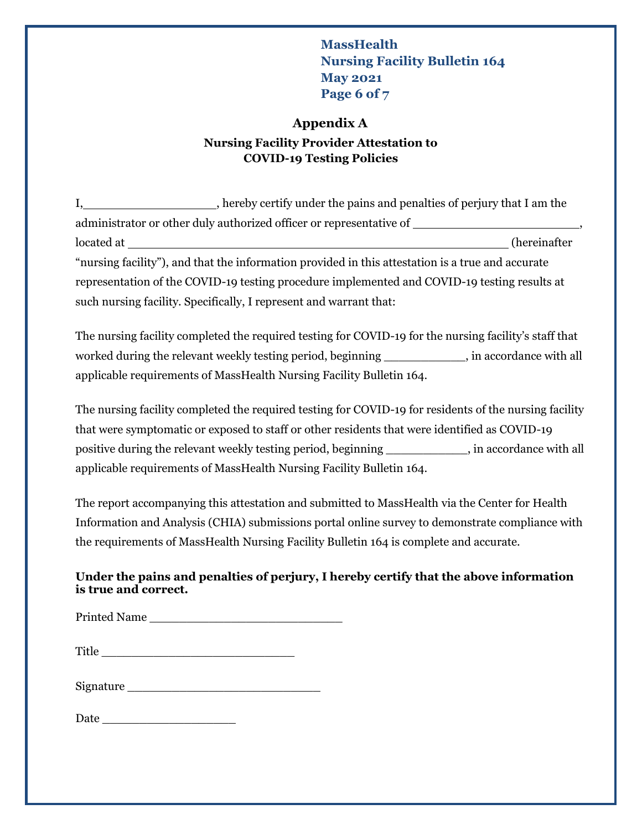## **MassHealth Nursing Facility Bulletin 164 May 2021 Page 6 of 7**

#### **Appendix A**

### **Nursing Facility Provider Attestation to COVID-19 Testing Policies**

I, hereby certify under the pains and penalties of perjury that I am the administrator or other duly authorized officer or representative of , located at (hereinafter "nursing facility"), and that the information provided in this attestation is a true and accurate representation of the COVID-19 testing procedure implemented and COVID-19 testing results at such nursing facility. Specifically, I represent and warrant that:

The nursing facility completed the required testing for COVID-19 for the nursing facility's staff that worked during the relevant weekly testing period, beginning \_\_\_\_\_\_\_\_\_\_\_, in accordance with all applicable requirements of MassHealth Nursing Facility Bulletin 164.

The nursing facility completed the required testing for COVID-19 for residents of the nursing facility that were symptomatic or exposed to staff or other residents that were identified as COVID-19 positive during the relevant weekly testing period, beginning \_\_\_\_\_\_\_\_\_\_\_, in accordance with all applicable requirements of MassHealth Nursing Facility Bulletin 164.

The report accompanying this attestation and submitted to MassHealth via the Center for Health Information and Analysis (CHIA) submissions portal online survey to demonstrate compliance with the requirements of MassHealth Nursing Facility Bulletin 164 is complete and accurate.

#### **Under the pains and penalties of perjury, I hereby certify that the above information is true and correct.**

Printed Name

| Signature |  |
|-----------|--|
|           |  |

| Jate |  |  |  |  |
|------|--|--|--|--|
|      |  |  |  |  |